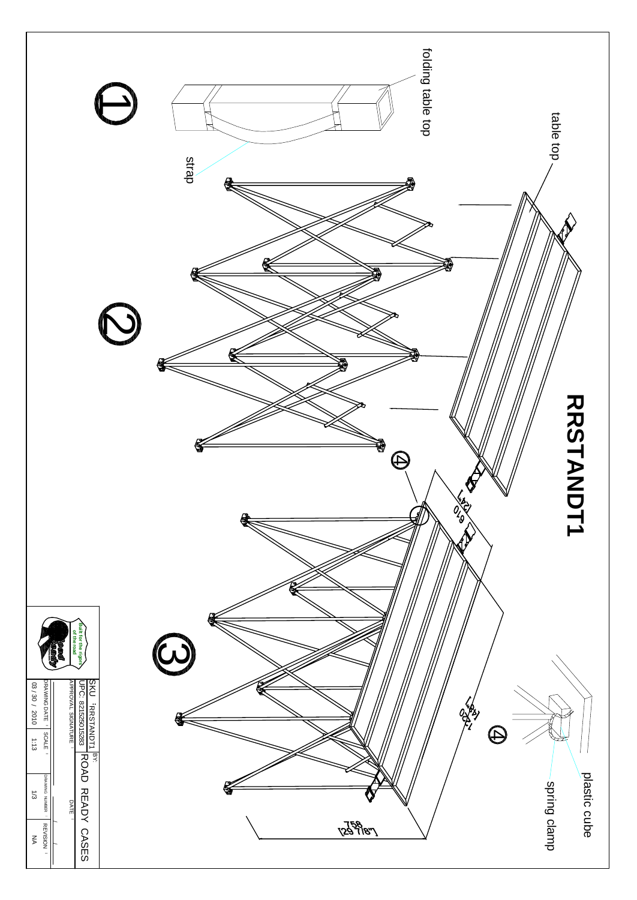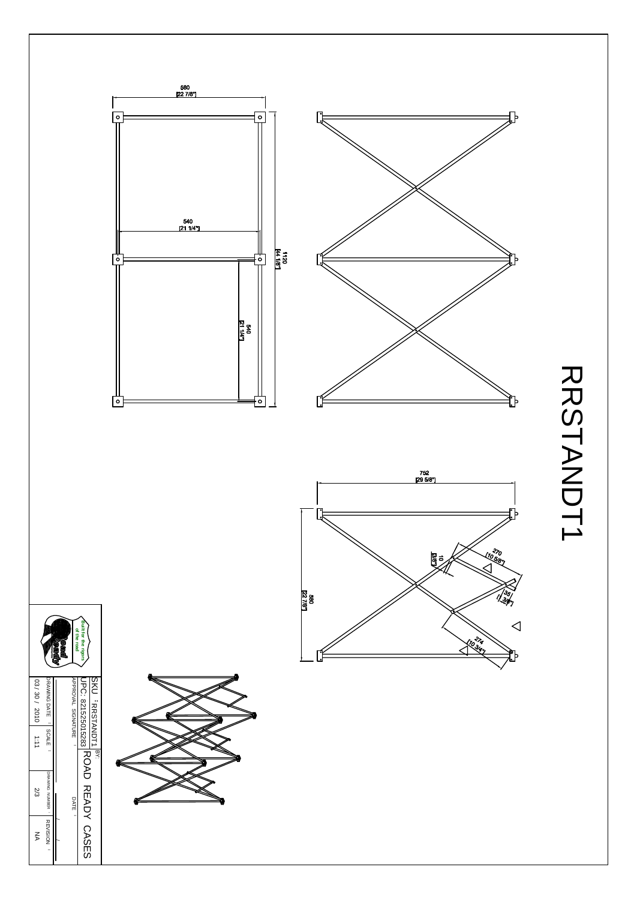